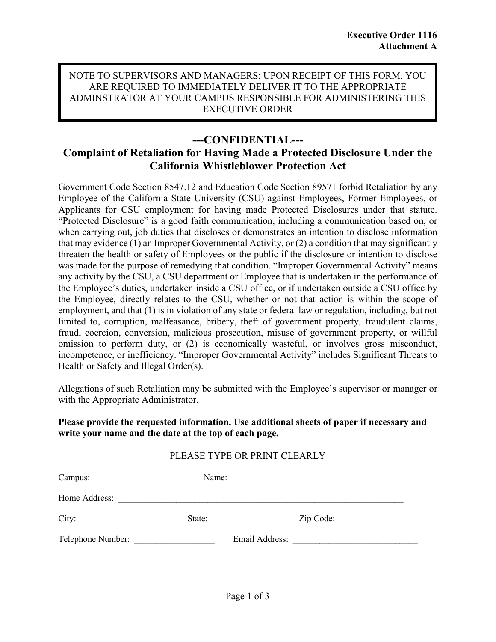#### NOTE TO SUPERVISORS AND MANAGERS: UPON RECEIPT OF THIS FORM, YOU ARE REQUIRED TO IMMEDIATELY DELIVER IT TO THE APPROPRIATE ADMINSTRATOR AT YOUR CAMPUS RESPONSIBLE FOR ADMINISTERING THIS EXECUTIVE ORDER

## **---CONFIDENTIAL---**

# **Complaint of Retaliation for Having Made a Protected Disclosure Under the California Whistleblower Protection Act**

Government Code Section 8547.12 and Education Code Section 89571 forbid Retaliation by any Employee of the California State University (CSU) against Employees, Former Employees, or Applicants for CSU employment for having made Protected Disclosures under that statute. "Protected Disclosure" is a good faith communication, including a communication based on, or when carrying out, job duties that discloses or demonstrates an intention to disclose information that may evidence  $(1)$  an Improper Governmental Activity, or  $(2)$  a condition that may significantly threaten the health or safety of Employees or the public if the disclosure or intention to disclose was made for the purpose of remedying that condition. "Improper Governmental Activity" means any activity by the CSU, a CSU department or Employee that is undertaken in the performance of the Employee's duties, undertaken inside a CSU office, or if undertaken outside a CSU office by the Employee, directly relates to the CSU, whether or not that action is within the scope of employment, and that (1) is in violation of any state or federal law or regulation, including, but not limited to, corruption, malfeasance, bribery, theft of government property, fraudulent claims, fraud, coercion, conversion, malicious prosecution, misuse of government property, or willful omission to perform duty, or (2) is economically wasteful, or involves gross misconduct, incompetence, or inefficiency. "Improper Governmental Activity" includes Significant Threats to Health or Safety and Illegal Order(s).

Allegations of such Retaliation may be submitted with the Employee's supervisor or manager or with the Appropriate Administrator.

### **Please provide the requested information. Use additional sheets of paper if necessary and write your name and the date at the top of each page.**

### PLEASE TYPE OR PRINT CLEARLY

| Campus:           | Name:  |                |           |  |
|-------------------|--------|----------------|-----------|--|
| Home Address:     |        |                |           |  |
| City:             | State: |                | Zip Code: |  |
| Telephone Number: |        | Email Address: |           |  |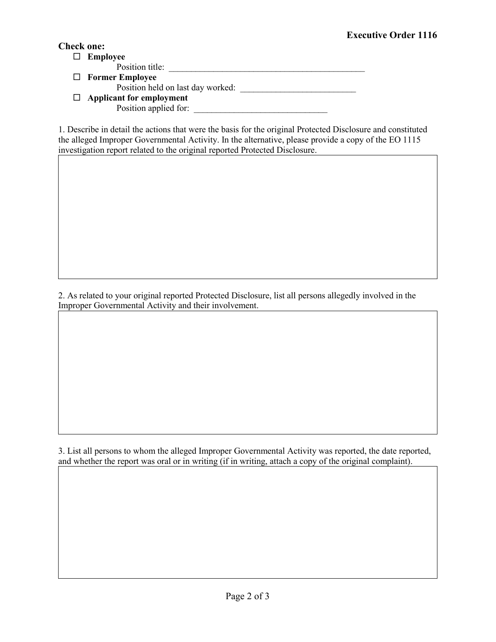### **Check one:**

 **Employee** Position title: **Former Employee** Position held on last day worked: \_\_\_\_\_\_\_\_\_\_\_\_\_\_\_\_\_\_\_\_\_\_\_\_\_\_ **Applicant for employment** Position applied for: \_\_\_\_\_\_\_\_\_\_\_\_\_\_\_\_\_\_\_\_\_\_\_\_\_\_\_\_\_\_

1. Describe in detail the actions that were the basis for the original Protected Disclosure and constituted the alleged Improper Governmental Activity. In the alternative, please provide a copy of the EO 1115 investigation report related to the original reported Protected Disclosure.

2. As related to your original reported Protected Disclosure, list all persons allegedly involved in the Improper Governmental Activity and their involvement.

3. List all persons to whom the alleged Improper Governmental Activity was reported, the date reported, and whether the report was oral or in writing (if in writing, attach a copy of the original complaint).